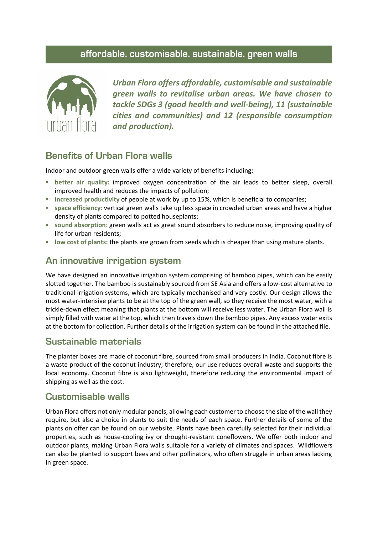#### **affordable. customisable. sustainable. green walls**



*Urban Flora offers affordable, customisable and sustainable green walls to revitalise urban areas. We have chosen to tackle SDGs 3 (good health and well-being), 11 (sustainable cities and communities) and 12 (responsible consumption and production).*

## **Benefits of Urban Flora walls**

Indoor and outdoor green walls offer a wide variety of benefits including:

- **EX better air quality: improved oxygen concentration of the air leads to better sleep, overall** improved health and reduces the impacts of pollution;
- **increased productivity** of people at work by up to 15%, which is beneficial to companies;
- **space efficiency**: vertical green walls take up less space in crowded urban areas and have a higher density of plants compared to potted houseplants;
- **sound absorption:** green walls act as great sound absorbers to reduce noise, improving quality of life for urban residents;
- **low cost of plants:** the plants are grown from seeds which is cheaper than using mature plants.

# **An innovative irrigation system**

We have designed an innovative irrigation system comprising of bamboo pipes, which can be easily slotted together. The bamboo is sustainably sourced from SE Asia and offers a low-cost alternative to traditional irrigation systems, which are typically mechanised and very costly. Our design allows the most water-intensive plants to be at the top of the green wall, so they receive the most water, with a trickle-down effect meaning that plants at the bottom will receive less water. The Urban Flora wall is simply filled with water at the top, which then travels down the bamboo pipes. Any excess water exits at the bottom for collection. Further details of the irrigation system can be found in the attached file.

### **Sustainable materials**

The planter boxes are made of coconut fibre, sourced from small producers in India. Coconut fibre is a waste product of the coconut industry; therefore, our use reduces overall waste and supports the local economy. Coconut fibre is also lightweight, therefore reducing the environmental impact of shipping as well as the cost.

### **Customisable walls**

Urban Flora offers not only modular panels, allowing each customer to choose the size of the wall they require, but also a choice in plants to suit the needs of each space. Further details of some of the plants on offer can be found on our website. Plants have been carefully selected for their individual properties, such as house-cooling ivy or drought-resistant coneflowers. We offer both indoor and outdoor plants, making Urban Flora walls suitable for a variety of climates and spaces. Wildflowers can also be planted to support bees and other pollinators, who often struggle in urban areas lacking in green space.